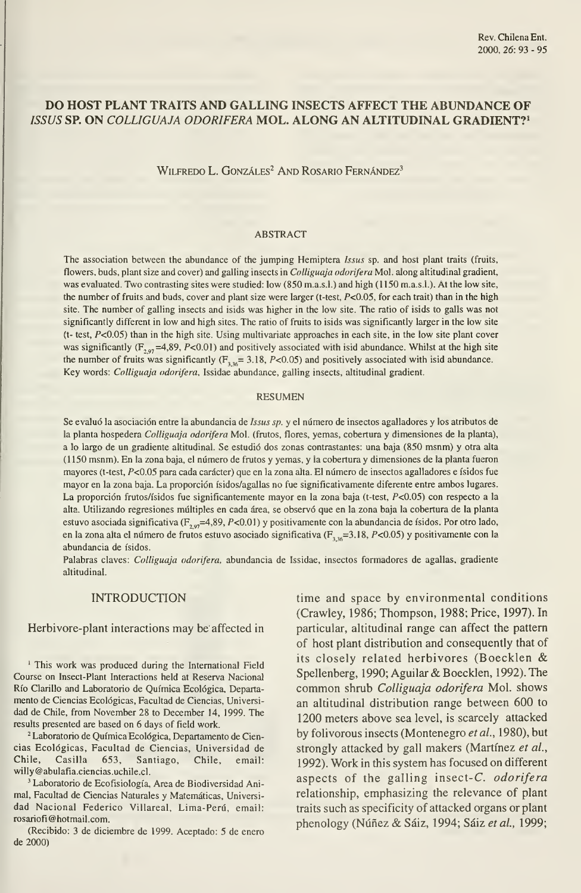# DO HOST PLANT TRAITS AND GALLING INSECTS AFFECT THE ABUNDANCE OF ISSUS SP. ON COLLIGUAJA ODORIFERA MOL. ALONG AN ALTITUDINAL GRADIENT?<sup>1</sup>

WILFREDO L. GONZÁLES<sup>2</sup> AND ROSARIO FERNÁNDEZ<sup>3</sup>

### ABSTRACT

The association between the abundance of the jumping Hemiptera Issus sp. and host plant traits (fruits, flowers, buds, plant size and cover) and galling insects in Colliguaja odorifera Mol. along altitudinal gradient, was evaluated. Two contrasting sites were studied: low (850 m.a.s.l.) and high (1150 m.a.s.l.). At the low site, the number of fruits and buds, cover and plant size were larger (t-test,  $P<0.05$ , for each trait) than in the high site. The number of galling insects and isids was higher in the low site. The ratio of isids to galls was not significantly different in low and high sites. The ratio of fruits to isids was significantly larger in the low site (t- test, P<0.05) than in the high site. Using multivariate approaches in each site, in the low site plant cover was significantly ( $F_{2,97}$ =4,89, P<0.01) and positively associated with isid abundance. Whilst at the high site the number of fruits was significantly ( $F_{\text{146}}$ = 3.18, P<0.05) and positively associated with isid abundance. Key words: Colliguaja odorifera, Issidae abundance, galling insects, altitudinal gradient.

#### RESUMEN

Se evaluó la asociación entre la abundancia de Issus sp. y el número de insectos agalladores y los atributos de la planta hospedera Colliguaja odorifera Mol. (frutos, flores, yemas, cobertura y dimensiones de la planta), a lo largo de un gradiente altitudinal. Se estudió dos zonas contrastantes: una baja (850 msnm) y otra alta (1150 msnm). En la zona baja, el número de frutos <sup>y</sup> yemas, <sup>y</sup> la cobertura <sup>y</sup> dimensiones de la planta fueron mayores (t-test, P<0.05 para cada carácter) que en la zona alta. El número de insectos agalladores e ísidos fue mayor en la zona baja. La proporción ísidos/agallas no fue significativamente diferente entre ambos lugares. La proporción frutos/ísidos fue significantemente mayor en la zona baja (t-test, P<0.05) con respecto a la alta. Utilizando regresiones múltiples en cada área, se observó que en la zona baja la cobertura de la planta estuvo asociada significativa (F<sub>2.97</sub>=4,89, P<0.01) y positivamente con la abundancia de ísidos. Por otro lado, en la zona alta el número de frutos estuvo asociado significativa ( $F_{3,36}$ =3.18, P<0.05) y positivamente con la abundancia de ísidos.

Palabras claves: Colliguaja odorifera, abundancia de Issidae, insectos formadores de agallas, gradiente altitudinal.

# INTRODUCTION

### Herbivore-plant interactions may be affected in

' This work was produced during the International Field Course on Insect-Plant Interactions held at Reserva Nacional Río Clarillo and Laboratorio de Química Ecológica, Departa mento de Ciencias Ecológicas, Facultad de Ciencias, Universi dad de Chile, from November 28 to December 14, 1999. The results presented are based on 6 days of field work.

<sup>2</sup> Laboratorio de Química Ecológica, Departamento de Ciencias Ecológicas, Facultad de Ciencias, Universidad de Chile, Casilla 653, Santiago, Chile, email: willy@abulafia.ciencias.uchile.cl.

' Laboratorio de Ecofisiología, Área de Biodiversidad Animal, Facultad de Ciencias Naturales y Matemáticas, Universi dad Nacional Federico Villareal, Lima-Perú, email: rosariofi@hotmail.com.

(Recibido: 3 de diciembre de 1999. Aceptado: 5 de enero de 2000)

time and space by environmental conditions (Crawley, 1986; Thompson, 1988; Price, 1997). In particular, altitudinal range can affect the pattem of host plant distribution and consequently that of its closely related herbivores (Boecklen & Spellenberg, 1990; Aguilar& Boecklen, 1992). The common shrub Colliguaja odorifera Mol. shows an altitudinal distribution range between 600 to 1200 meters above sea level, is scarcely attacked by folivorous insects (Montenegro et al., 1980), but strongly attacked by gall makers (Martínez et al., 1992). Work in this system has focused on different aspects of the galling insect-C. odorifera relationship, emphasizing the relevance of plant traits such as specificity of attacked organs or plant phenology (Núñez & Sáiz, 1994; Sáiz et al., 1999;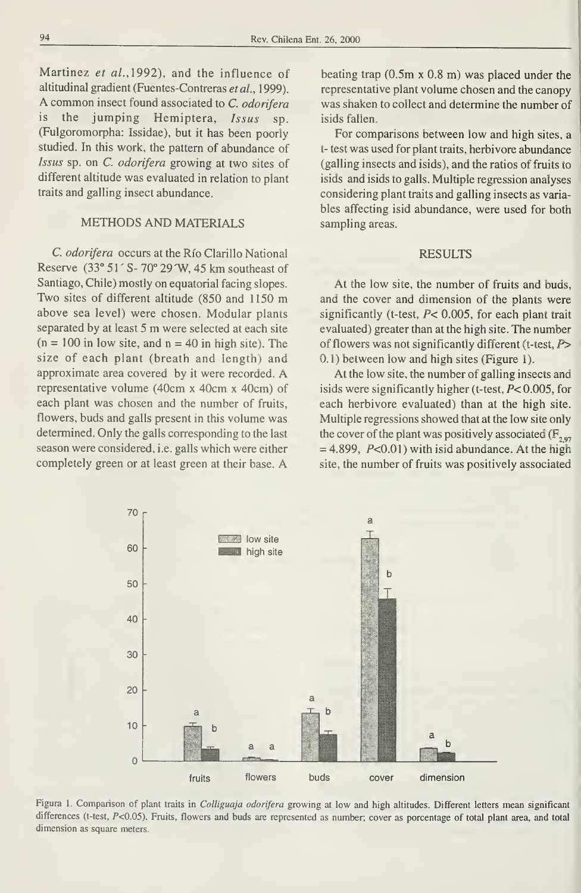Martinez et al., 1992), and the influence of altitudinal gradient (Fuentes-Contreras etal., 1999). A common insect found associated to C. odorífera is the jumping Hemiptera, Issus sp. (Fulgoromorpha: Issidae), but it has been poorly studied. In this work, the pattern of abundance of Issus sp. on C. odorífera growing at two sites of different altitude was evaluated in relation to plant traits and galling insect abundance.

# METHODS AND MATERIALS

C. odorífera occurs at the Río Clarillo National Reserve (33° 51' S- 70° 29'W, 45 km southeast of Santiago, Chile) mostly on equatorial facing slopes. Two sites of different altitude (850 and <sup>1150</sup> m above sea level) were chosen. Modular plants separated by at least <sup>5</sup> m were selected at each site  $(n = 100$  in low site, and  $n = 40$  in high site). The size of each plant (breath and length) and approximate area covered by it were recorded. A representative volume (40cm x 40cm x 40cm) of each plant was chosen and the number of fruits, flowers, buds and galls present in this volume was determined. Only the galls corresponding to the last season were considered, i.e. galls which were either completely green or at least green at their base. A

70

60

50

40

30

20

 $\overline{a}$ 

beating trap (0.5m x 0.8 m) was placed under the representative plant volume chosen and the canopy was shaken to collect and determine the number of isids fallen.

Por comparisons between low and high sites, a í- test was used for plant traits, herbivore abundance (galling insects and isids), and the ratios of fruits to isids and isids to galls. Multiple regression analyses considering plant traits and galling insects as varia bles affecting isid abundance, were used for both sampling areas.

# RESULTS

At the low site, the number of fruits and buds, and the cover and dimension of the plants were significantly (t-test,  $P$ < 0.005, for each plant trait evaluated) greater than at the high site. The number of flowers was not significantly different (t-test,  $P$ > 0.1) between low and high sites (Figure 1).

At the low site, the number of galling insects and isids were significandy higher (t-test, P< 0.005, for each herbivore evaluated) than at the high site. Múltiple regressions showed that at the low site only the cover of the plant was positively associated ( $F_{\text{eq}}$ ,  $= 4.899$ ,  $P < 0.01$ ) with isid abundance. At the high site, the number of fruits was positively associated

ă

b



**Fig. 1 low site B** high site

differences (t-test, P<0.05). Fruits, flowers and buds are represented as number; cover as porcentage of total plant area, and total dimension as square meters.

 $\overline{a}$